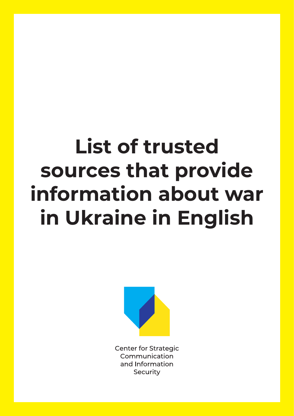# **List of trusted sources that provide information about war in Ukraine in English**



**Center for Strategic** Communication and Information Security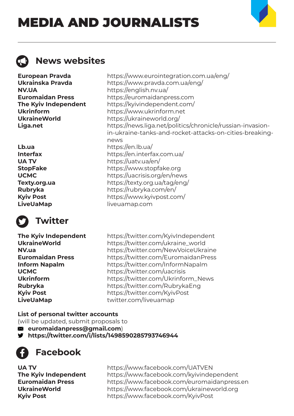## MEDIA AND JOURNALISTS

news



## **News websites**

**European Pravda** https://www.eurointegration.com.ua/eng/ **Ukrainska Pravda** https://www.pravda.com.ua/eng/ **NV.UA** https://english.nv.ua/ **Euromaidan Press** https://euromaidanpress.com **The Kyiv Independent** https://kyivindependent.com/ **Ukrinform** https://www.ukrinform.net **UkraineWorld** https://ukraineworld.org/ **Liga.net** https://news.liga.net/politics/chronicle/russian-invasion-

**Lb.ua** https://en.lb.ua/ **Interfax** https://en.interfax.com.ua/ **UA TV** https://uatv.ua/en/ **StopFake** https://www.stopfake.org **UCMC** https://uacrisis.org/en/news **Texty.org.ua** https://texty.org.ua/tag/eng/ **Rubryka** https://rubryka.com/en/ **Kyiv Post** https://www.kyivpost.com/ **LiveUaMap** liveuamap.com



## **Twitter**

**The Kyiv Independent** https://twitter.com/KyivIndependent **UkraineWorld** https://twitter.com/ukraine\_world **NV.ua** https://twitter.com/NewVoiceUkraine **Euromaidan Press** https://twitter.com/EuromaidanPress **Inform Napalm** https://twitter.com/InformNapalm **UCMC** https://twitter.com/uacrisis **Ukrinform** https://twitter.com/Ukrinform\_News **Rubryka** https://twitter.com/RubrykaEng **Kyiv Post** https://twitter.com/KyivPost **LiveUaMap** twitter.com/liveuamap

in-ukraine-tanks-and-rocket-attacks-on-cities-breaking-

## **List of personal twitter accounts**

(will be updated, submit proposals to

**euromaidanpress@gmail.com**)

**https://twitter.com/i/lists/1498590285793746944**

**Facebook**

**UA TV** https://www.facebook.com/UATVEN **The Kyiv Independent** https://www.facebook.com/kyivindependent **Euromaidan Press** https://www.facebook.com/euromaidanpress.en **UkraineWorld** https://www.facebook.com/ukraineworld.org **Kyiv Post** https://www.facebook.com/KyivPost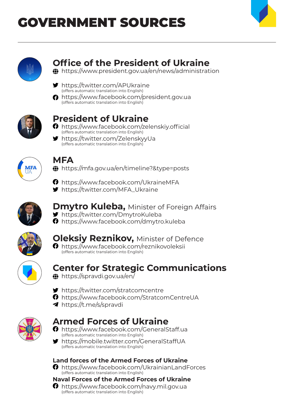## GOVERNMENT SOURCES





## **Office of the President of Ukraine**

https://www.president.gov.ua/en/news/administration

- https://twitter.com/APUkraine (offers automatic translation into English)
- https://www.facebook.com/president.gov.ua (offers automatic translation into English)



## **President of Ukraine**

- **n** https://www.facebook.com/zelenskiy.official (offers automatic translation into English)
- https://twitter.com/ZelenskyyUa (offers automatic translation into English)



## **MFA**

https://mfa.gov.ua/en/timeline?&type=posts

**O** https://www.facebook.com/UkraineMFA

https://twitter.com/MFA\_Ukraine



#### **Dmytro Kuleba, Minister of Foreign Affairs** https://twitter.com/DmytroKuleba

https://www.facebook.com/dmytro.kuleba



## **Oleksiy Reznikov, Minister of Defence**

**O** https://www.facebook.com/reznikovoleksii (offers automatic translation into English)



## **Center for Strategic Communications**

- **th** https://spravdi.gov.ua/en/
- https://twitter.com/stratcomcentre
- https://www.facebook.com/StratcomCentreUA
- https://t.me/s/spravdi



## **Armed Forces of Ukraine**

- https://www.facebook.com/GeneralStaff.ua (offers automatic translation into English)
- https://mobile.twitter.com/GeneralStaffUA v (offers automatic translation into English)



**O** https://www.facebook.com/UkrainianLandForces (offers automatic translation into English)

#### **Naval Forces of the Armed Forces of Ukraine**

 https://www.facebook.com/navy.mil.gov.ua (offers automatic translation into English)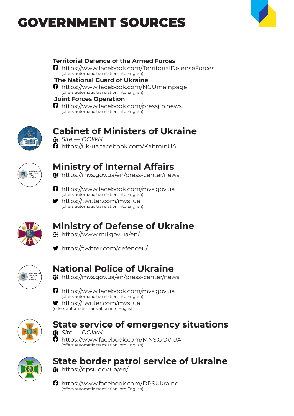## GOVERNMENT SOURCES



#### **Territorial Defence of the Armed Forces**

 https://www.facebook.com/TerritorialDefenseForces (offers automatic translation into English)

#### **The National Guard of Ukraine**

**O** https://www.facebook.com/NGUmainpage (offers automatic translation into English)

#### **Joint Forces Operation**

**O** https://www.facebook.com/pressifo.news (offers automatic translation into English)



## **Cabinet of Ministers of Ukraine**

 *Site — DOWN* https://uk-ua.facebook.com/KabminUA



## **Ministry of Internal Affairs**

https://mvs.gov.ua/en/press-center/news

- **n** https://www.facebook.com/mvs.gov.ua (offers automatic translation into English)
- https://twitter.com/mvs\_ua (offers automatic translation into English)



## **Ministry of Defense of Ukraine**

- https://www.mil.gov.ua/en/
- https://twitter.com/defenceu/



## **National Police of Ukraine**

https://mvs.gov.ua/en/press-center/news

 https://www.facebook.com/mvs.gov.ua (offers automatic translation into English)

 https://twitter.com/mvs\_ua (offers automatic translation into English)



### **State service of emergency situations**



**f** https://www.facebook.com/MNS.GOV.UA (offers automatic translation into English)



## **State border patrol service of Ukraine**

https://dpsu.gov.ua/en/

**O** https://www.facebook.com/DPSUkraine (offers automatic translation into English)